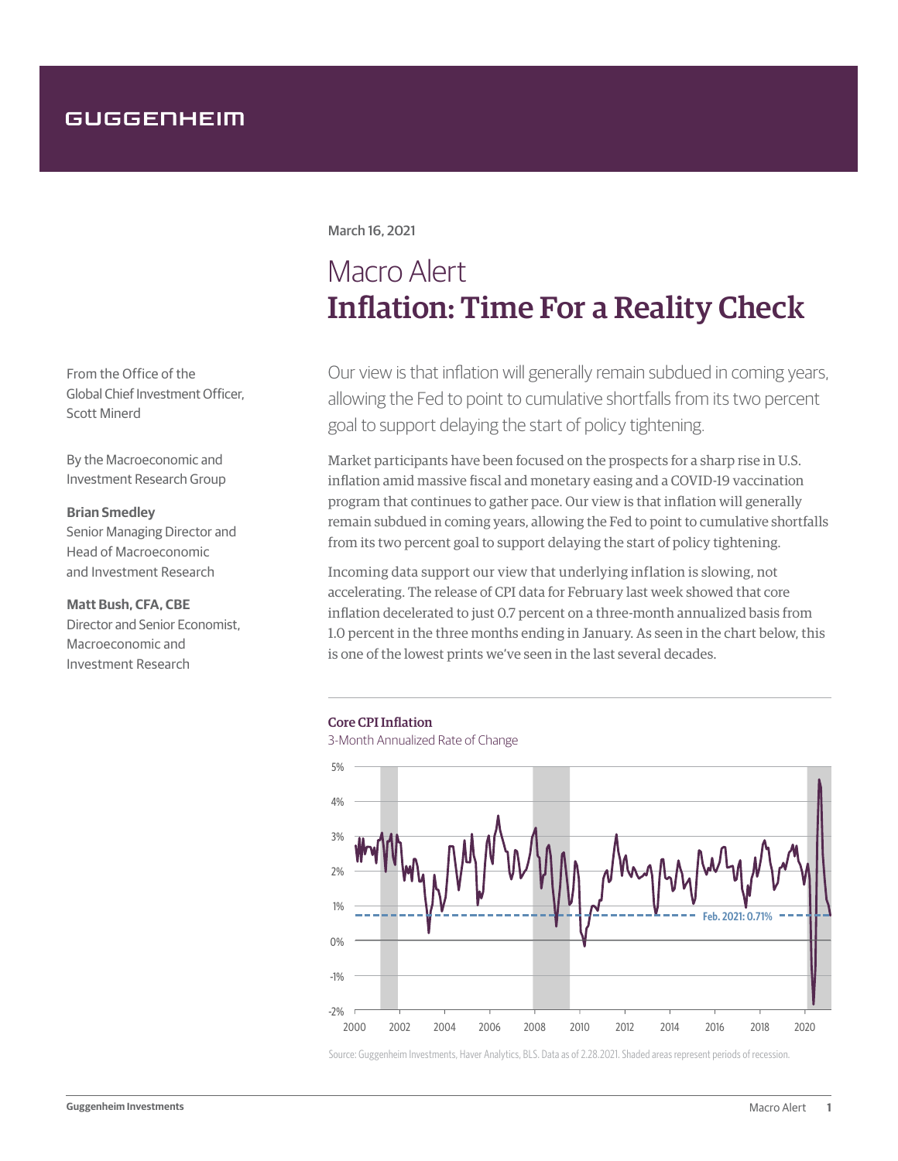From the Office of the Global Chief Investment Officer, Scott Minerd

By the Macroeconomic and Investment Research Group

## **Brian Smedley**

Senior Managing Director and Head of Macroeconomic and Investment Research

# **Matt Bush, CFA, CBE**

Director and Senior Economist, Macroeconomic and Investment Research

# March 16, 2021

# Macro Alert Inflation: Time For a Reality Check

Our view is that inflation will generally remain subdued in coming years, allowing the Fed to point to cumulative shortfalls from its two percent goal to support delaying the start of policy tightening.

Market participants have been focused on the prospects for a sharp rise in U.S. inflation amid massive fiscal and monetary easing and a COVID-19 vaccination program that continues to gather pace. Our view is that inflation will generally remain subdued in coming years, allowing the Fed to point to cumulative shortfalls from its two percent goal to support delaying the start of policy tightening.

Incoming data support our view that underlying inflation is slowing, not accelerating. The release of CPI data for February last week showed that core inflation decelerated to just 0.7 percent on a three-month annualized basis from 1.0 percent in the three months ending in January. As seen in the chart below, this is one of the lowest prints we've seen in the last several decades.

### Core CPI Inflation

3-Month Annualized Rate of Change



Source: Guggenheim Investments, Haver Analytics, BLS. Data as of 2.28.2021. Shaded areas represent periods of recession.